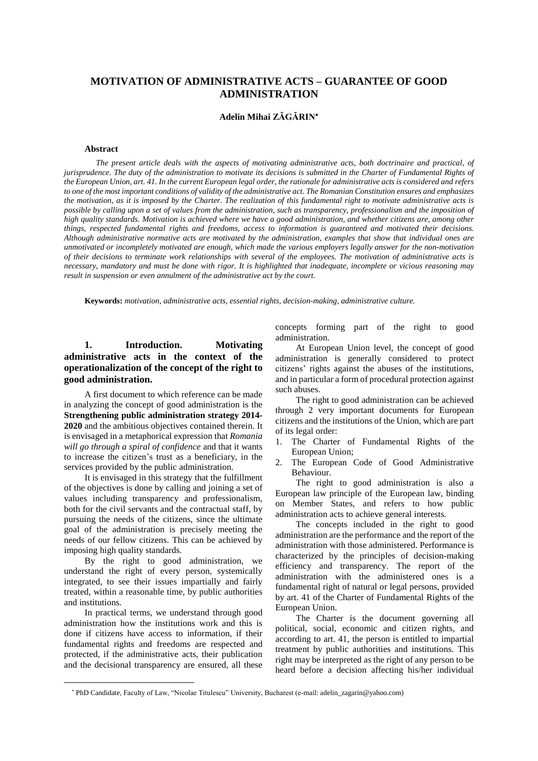# **MOTIVATION OF ADMINISTRATIVE ACTS – GUARANTEE OF GOOD ADMINISTRATION**

### **Adelin Mihai ZĂGĂRIN**

#### **Abstract**

*The present article deals with the aspects of motivating administrative acts, both doctrinaire and practical, of* jurisprudence. The duty of the administration to motivate its decisions is submitted in the Charter of Fundamental Rights of the European Union, art. 41. In the current European legal order, the rationale for administrative acts is considered and refers to one of the most important conditions of validity of the administrative act. The Romanian Constitution ensures and emphasizes the motivation, as it is imposed by the Charter. The realization of this fundamental right to motivate administrative acts is possible by calling upon a set of values from the administration, such as transparency, professionalism and the imposition of high quality standards. Motivation is achieved where we have a good administration, and whether citizens are, among other *things, respected fundamental rights and freedoms, access to information is guaranteed and motivated their decisions.* Although administrative normative acts are motivated by the administration, examples that show that individual ones are unmotivated or incompletely motivated are enough, which made the various employers legally answer for the non-motivation of their decisions to terminate work relationships with several of the employees. The motivation of administrative acts is necessary, mandatory and must be done with rigor. It is highlighted that inadequate, incomplete or vicious reasoning may *result in suspension or even annulment of the administrative act by the court.*

**Keywords:** *motivation, administrative acts, essential rights, decision-making, administrative culture.*

# **1. Introduction. Motivating administrative acts in the context of the operationalization of the concept of the right to good administration.**

A first document to which reference can be made in analyzing the concept of good administration is the **Strengthening public administration strategy 2014- 2020** and the ambitious objectives contained therein. It is envisaged in a metaphorical expression that *Romania will go through a spiral of confidence* and that it wants to increase the citizen's trust as a beneficiary, in the services provided by the public administration.

It is envisaged in this strategy that the fulfillment of the objectives is done by calling and joining a set of values including transparency and professionalism, both for the civil servants and the contractual staff, by pursuing the needs of the citizens, since the ultimate goal of the administration is precisely meeting the needs of our fellow citizens. This can be achieved by imposing high quality standards.

By the right to good administration, we understand the right of every person, systemically integrated, to see their issues impartially and fairly treated, within a reasonable time, by public authorities and institutions.

In practical terms, we understand through good administration how the institutions work and this is done if citizens have access to information, if their fundamental rights and freedoms are respected and protected, if the administrative acts, their publication and the decisional transparency are ensured, all these

 $\overline{a}$ 

concepts forming part of the right to good administration.

At European Union level, the concept of good administration is generally considered to protect citizens' rights against the abuses of the institutions, and in particular a form of procedural protection against such abuses.

The right to good administration can be achieved through 2 very important documents for European citizens and the institutions of the Union, which are part of its legal order:

- 1. The Charter of Fundamental Rights of the European Union;
- 2. The European Code of Good Administrative Behaviour.

The right to good administration is also a European law principle of the European law, binding on Member States, and refers to how public administration acts to achieve general interests.

The concepts included in the right to good administration are the performance and the report of the administration with those administered. Performance is characterized by the principles of decision-making efficiency and transparency. The report of the administration with the administered ones is a fundamental right of natural or legal persons, provided by art. 41 of the Charter of Fundamental Rights of the European Union.

The Charter is the document governing all political, social, economic and citizen rights, and according to art. 41, the person is entitled to impartial treatment by public authorities and institutions. This right may be interpreted as the right of any person to be heard before a decision affecting his/her individual

PhD Candidate, Faculty of Law, "Nicolae Titulescu" University, Bucharest (e-mail: adelin\_zagarin@yahoo.com)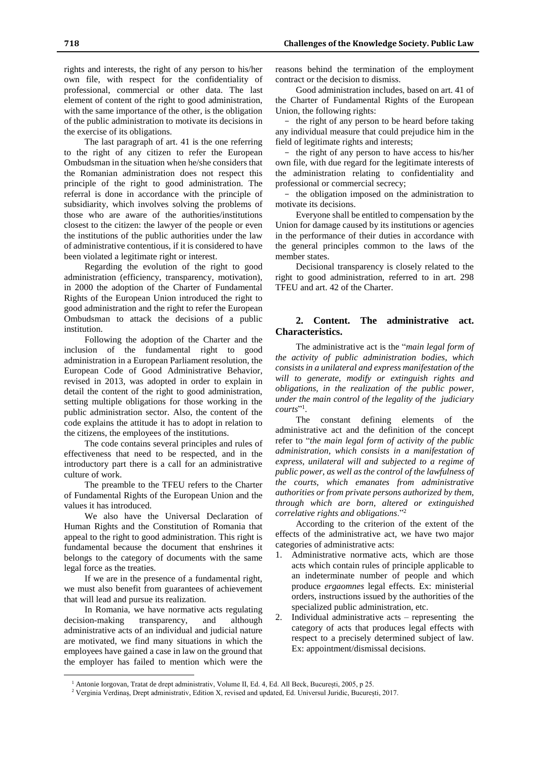rights and interests, the right of any person to his/her own file, with respect for the confidentiality of professional, commercial or other data. The last element of content of the right to good administration, with the same importance of the other, is the obligation of the public administration to motivate its decisions in the exercise of its obligations.

The last paragraph of art. 41 is the one referring to the right of any citizen to refer the European Ombudsman in the situation when he/she considers that the Romanian administration does not respect this principle of the right to good administration. The referral is done in accordance with the principle of subsidiarity, which involves solving the problems of those who are aware of the authorities/institutions closest to the citizen: the lawyer of the people or even the institutions of the public authorities under the law of administrative contentious, if it is considered to have been violated a legitimate right or interest.

Regarding the evolution of the right to good administration (efficiency, transparency, motivation), in 2000 the adoption of the Charter of Fundamental Rights of the European Union introduced the right to good administration and the right to refer the European Ombudsman to attack the decisions of a public institution.

Following the adoption of the Charter and the inclusion of the fundamental right to good administration in a European Parliament resolution, the European Code of Good Administrative Behavior, revised in 2013, was adopted in order to explain in detail the content of the right to good administration, setting multiple obligations for those working in the public administration sector. Also, the content of the code explains the attitude it has to adopt in relation to the citizens, the employees of the institutions.

The code contains several principles and rules of effectiveness that need to be respected, and in the introductory part there is a call for an administrative culture of work.

The preamble to the TFEU refers to the Charter of Fundamental Rights of the European Union and the values it has introduced.

We also have the Universal Declaration of Human Rights and the Constitution of Romania that appeal to the right to good administration. This right is fundamental because the document that enshrines it belongs to the category of documents with the same legal force as the treaties.

If we are in the presence of a fundamental right, we must also benefit from guarantees of achievement that will lead and pursue its realization.

In Romania, we have normative acts regulating decision-making transparency, and although administrative acts of an individual and judicial nature are motivated, we find many situations in which the employees have gained a case in law on the ground that the employer has failed to mention which were the

 $\overline{a}$ 

reasons behind the termination of the employment contract or the decision to dismiss.

Good administration includes, based on art. 41 of the Charter of Fundamental Rights of the European Union, the following rights:

- the right of any person to be heard before taking any individual measure that could prejudice him in the field of legitimate rights and interests;

- the right of any person to have access to his/her own file, with due regard for the legitimate interests of the administration relating to confidentiality and professional or commercial secrecy;

- the obligation imposed on the administration to motivate its decisions.

Everyone shall be entitled to compensation by the Union for damage caused by its institutions or agencies in the performance of their duties in accordance with the general principles common to the laws of the member states.

Decisional transparency is closely related to the right to good administration, referred to in art. 298 TFEU and art. 42 of the Charter.

# **2. Content. The administrative act. Characteristics.**

The administrative act is the "*main legal form of the activity of public administration bodies, which consists in a unilateral and express manifestation of the will to generate, modify or extinguish rights and obligations, in the realization of the public power, under the main control of the legality of the judiciary courts*" 1 .

The constant defining elements of the administrative act and the definition of the concept refer to "*the main legal form of activity of the public administration, which consists in a manifestation of express, unilateral will and subjected to a regime of public power, as well as the control of the lawfulness of the courts, which emanates from administrative authorities or from private persons authorized by them, through which are born, altered or extinguished correlative rights and obligations*."<sup>2</sup>

According to the criterion of the extent of the effects of the administrative act, we have two major categories of administrative acts:

- 1. Administrative normative acts, which are those acts which contain rules of principle applicable to an indeterminate number of people and which produce *ergaomnes* legal effects. Ex: ministerial orders, instructions issued by the authorities of the specialized public administration, etc.
- 2. Individual administrative acts representing the category of acts that produces legal effects with respect to a precisely determined subject of law. Ex: appointment/dismissal decisions.

<sup>1</sup> Antonie Iorgovan, Tratat de drept administrativ, Volume II, Ed. 4, Ed. All Beck, București, 2005, p 25.

<sup>&</sup>lt;sup>2</sup> Verginia Verdinaș, Drept administrativ, Edition X, revised and updated, Ed. Universul Juridic, București, 2017.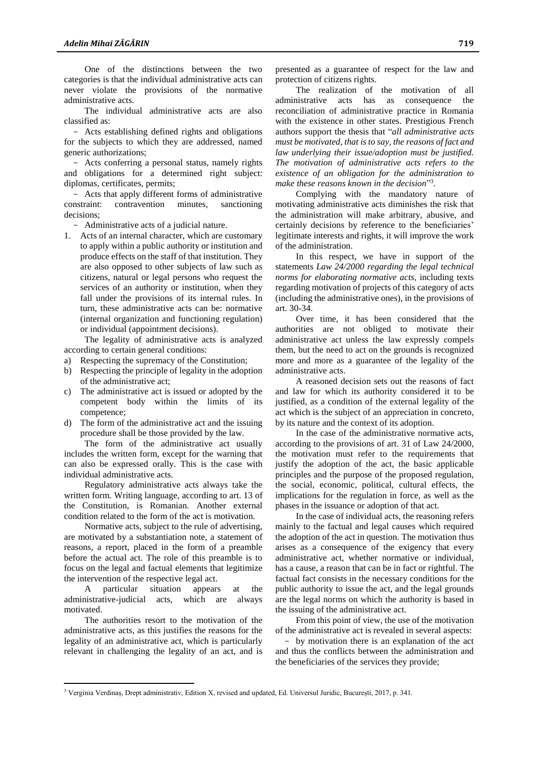One of the distinctions between the two categories is that the individual administrative acts can never violate the provisions of the normative administrative acts.

The individual administrative acts are also classified as:

- Acts establishing defined rights and obligations for the subjects to which they are addressed, named generic authorizations;

- Acts conferring a personal status, namely rights and obligations for a determined right subject: diplomas, certificates, permits;

- Acts that apply different forms of administrative constraint: contravention minutes, sanctioning decisions;

- Administrative acts of a judicial nature.

1. Acts of an internal character, which are customary to apply within a public authority or institution and produce effects on the staff of that institution. They are also opposed to other subjects of law such as citizens, natural or legal persons who request the services of an authority or institution, when they fall under the provisions of its internal rules. In turn, these administrative acts can be: normative (internal organization and functioning regulation) or individual (appointment decisions).

The legality of administrative acts is analyzed according to certain general conditions:

- a) Respecting the supremacy of the Constitution;
- b) Respecting the principle of legality in the adoption of the administrative act;
- c) The administrative act is issued or adopted by the competent body within the limits of its competence;
- d) The form of the administrative act and the issuing procedure shall be those provided by the law.

The form of the administrative act usually includes the written form, except for the warning that can also be expressed orally. This is the case with individual administrative acts.

Regulatory administrative acts always take the written form. Writing language, according to art. 13 of the Constitution, is Romanian. Another external condition related to the form of the act is motivation.

Normative acts, subject to the rule of advertising, are motivated by a substantiation note, a statement of reasons, a report, placed in the form of a preamble before the actual act. The role of this preamble is to focus on the legal and factual elements that legitimize the intervention of the respective legal act.

A particular situation appears at the administrative-judicial acts, which are always motivated.

The authorities resort to the motivation of the administrative acts, as this justifies the reasons for the legality of an administrative act, which is particularly relevant in challenging the legality of an act, and is

 $\overline{a}$ 

presented as a guarantee of respect for the law and protection of citizens rights.

The realization of the motivation of all administrative acts has as consequence the reconciliation of administrative practice in Romania with the existence in other states. Prestigious French authors support the thesis that "*all administrative acts must be motivated, that is to say, the reasons of fact and law underlying their issue/adoption must be justified. The motivation of administrative acts refers to the existence of an obligation for the administration to make these reasons known in the decision*" 3 .

Complying with the mandatory nature of motivating administrative acts diminishes the risk that the administration will make arbitrary, abusive, and certainly decisions by reference to the beneficiaries' legitimate interests and rights, it will improve the work of the administration.

In this respect, we have in support of the statements *Law 24/2000 regarding the legal technical norms for elaborating normative acts*, including texts regarding motivation of projects of this category of acts (including the administrative ones), in the provisions of art. 30-34.

Over time, it has been considered that the authorities are not obliged to motivate their administrative act unless the law expressly compels them, but the need to act on the grounds is recognized more and more as a guarantee of the legality of the administrative acts.

A reasoned decision sets out the reasons of fact and law for which its authority considered it to be justified, as a condition of the external legality of the act which is the subject of an appreciation in concreto, by its nature and the context of its adoption.

In the case of the administrative normative acts, according to the provisions of art. 31 of Law 24/2000, the motivation must refer to the requirements that justify the adoption of the act, the basic applicable principles and the purpose of the proposed regulation, the social, economic, political, cultural effects, the implications for the regulation in force, as well as the phases in the issuance or adoption of that act.

In the case of individual acts, the reasoning refers mainly to the factual and legal causes which required the adoption of the act in question. The motivation thus arises as a consequence of the exigency that every administrative act, whether normative or individual, has a cause, a reason that can be in fact or rightful. The factual fact consists in the necessary conditions for the public authority to issue the act, and the legal grounds are the legal norms on which the authority is based in the issuing of the administrative act.

From this point of view, the use of the motivation of the administrative act is revealed in several aspects:

- by motivation there is an explanation of the act and thus the conflicts between the administration and the beneficiaries of the services they provide;

<sup>3</sup> Verginia Verdinaș, Drept administrativ, Edition X, revised and updated, Ed. Universul Juridic, București, 2017, p. 341.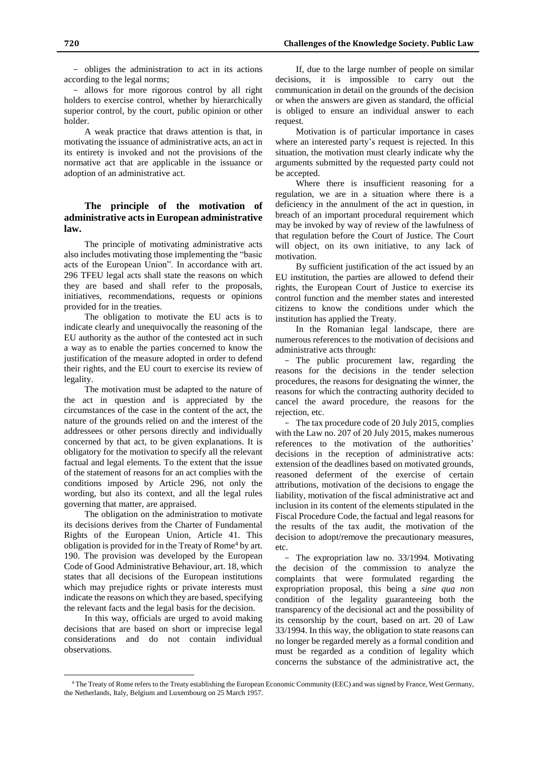- obliges the administration to act in its actions according to the legal norms;

- allows for more rigorous control by all right holders to exercise control, whether by hierarchically superior control, by the court, public opinion or other holder.

A weak practice that draws attention is that, in motivating the issuance of administrative acts, an act in its entirety is invoked and not the provisions of the normative act that are applicable in the issuance or adoption of an administrative act.

### **The principle of the motivation of administrative acts in European administrative law.**

The principle of motivating administrative acts also includes motivating those implementing the "basic acts of the European Union". In accordance with art. 296 TFEU legal acts shall state the reasons on which they are based and shall refer to the proposals, initiatives, recommendations, requests or opinions provided for in the treaties.

The obligation to motivate the EU acts is to indicate clearly and unequivocally the reasoning of the EU authority as the author of the contested act in such a way as to enable the parties concerned to know the justification of the measure adopted in order to defend their rights, and the EU court to exercise its review of legality.

The motivation must be adapted to the nature of the act in question and is appreciated by the circumstances of the case in the content of the act, the nature of the grounds relied on and the interest of the addressees or other persons directly and individually concerned by that act, to be given explanations. It is obligatory for the motivation to specify all the relevant factual and legal elements. To the extent that the issue of the statement of reasons for an act complies with the conditions imposed by Article 296, not only the wording, but also its context, and all the legal rules governing that matter, are appraised.

The obligation on the administration to motivate its decisions derives from the Charter of Fundamental Rights of the European Union, Article 41. This obligation is provided for in the Treaty of Rome<sup>4</sup> by art. 190. The provision was developed by the European Code of Good Administrative Behaviour, art. 18, which states that all decisions of the European institutions which may prejudice rights or private interests must indicate the reasons on which they are based, specifying the relevant facts and the legal basis for the decision.

In this way, officials are urged to avoid making decisions that are based on short or imprecise legal considerations and do not contain individual observations.

 $\overline{a}$ 

If, due to the large number of people on similar decisions, it is impossible to carry out the communication in detail on the grounds of the decision or when the answers are given as standard, the official is obliged to ensure an individual answer to each request.

Motivation is of particular importance in cases where an interested party's request is rejected. In this situation, the motivation must clearly indicate why the arguments submitted by the requested party could not be accepted.

Where there is insufficient reasoning for a regulation, we are in a situation where there is a deficiency in the annulment of the act in question, in breach of an important procedural requirement which may be invoked by way of review of the lawfulness of that regulation before the Court of Justice. The Court will object, on its own initiative, to any lack of motivation.

By sufficient justification of the act issued by an EU institution, the parties are allowed to defend their rights, the European Court of Justice to exercise its control function and the member states and interested citizens to know the conditions under which the institution has applied the Treaty.

In the Romanian legal landscape, there are numerous references to the motivation of decisions and administrative acts through:

- The public procurement law, regarding the reasons for the decisions in the tender selection procedures, the reasons for designating the winner, the reasons for which the contracting authority decided to cancel the award procedure, the reasons for the rejection, etc.

- The tax procedure code of 20 July 2015, complies with the Law no. 207 of 20 July 2015, makes numerous references to the motivation of the authorities' decisions in the reception of administrative acts: extension of the deadlines based on motivated grounds, reasoned deferment of the exercise of certain attributions, motivation of the decisions to engage the liability, motivation of the fiscal administrative act and inclusion in its content of the elements stipulated in the Fiscal Procedure Code, the factual and legal reasons for the results of the tax audit, the motivation of the decision to adopt/remove the precautionary measures, etc.

- The expropriation law no. 33/1994. Motivating the decision of the commission to analyze the complaints that were formulated regarding the expropriation proposal, this being a *sine qua no*n condition of the legality guaranteeing both the transparency of the decisional act and the possibility of its censorship by the court, based on art. 20 of Law 33/1994. In this way, the obligation to state reasons can no longer be regarded merely as a formal condition and must be regarded as a condition of legality which concerns the substance of the administrative act, the

<sup>4</sup> The Treaty of Rome refers to the Treaty establishing the European Economic Community (EEC) and was signed by France, West Germany, the Netherlands, Italy, Belgium and Luxembourg on 25 March 1957.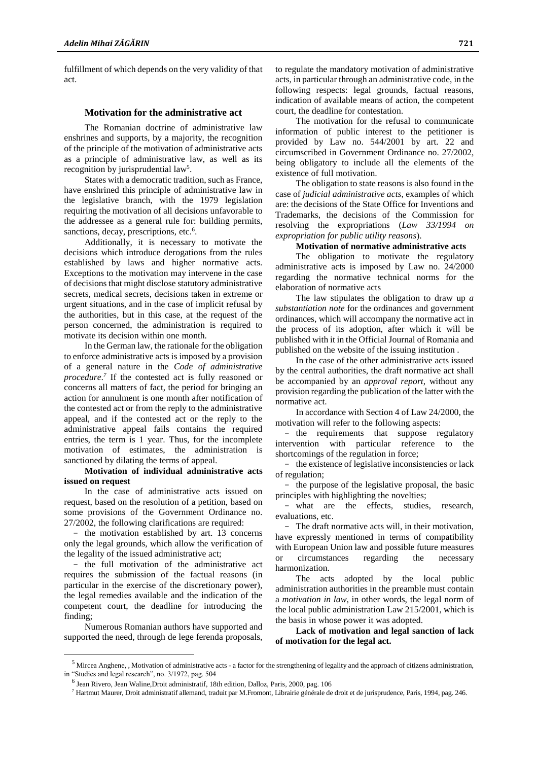fulfillment of which depends on the very validity of that act.

### **Motivation for the administrative act**

The Romanian doctrine of administrative law enshrines and supports, by a majority, the recognition of the principle of the motivation of administrative acts as a principle of administrative law, as well as its recognition by jurisprudential law<sup>5</sup>.

States with a democratic tradition, such as France, have enshrined this principle of administrative law in the legislative branch, with the 1979 legislation requiring the motivation of all decisions unfavorable to the addressee as a general rule for: building permits, sanctions, decay, prescriptions, etc.<sup>6</sup>.

Additionally, it is necessary to motivate the decisions which introduce derogations from the rules established by laws and higher normative acts. Exceptions to the motivation may intervene in the case of decisionsthat might disclose statutory administrative secrets, medical secrets, decisions taken in extreme or urgent situations, and in the case of implicit refusal by the authorities, but in this case, at the request of the person concerned, the administration is required to motivate its decision within one month.

In the German law, the rationale for the obligation to enforce administrative acts is imposed by a provision of a general nature in the *Code of administrative procedure*. *7* If the contested act is fully reasoned or concerns all matters of fact, the period for bringing an action for annulment is one month after notification of the contested act or from the reply to the administrative appeal, and if the contested act or the reply to the administrative appeal fails contains the required entries, the term is 1 year. Thus, for the incomplete motivation of estimates, the administration is sanctioned by dilating the terms of appeal.

**Motivation of individual administrative acts issued on request**

In the case of administrative acts issued on request, based on the resolution of a petition, based on some provisions of the Government Ordinance no. 27/2002, the following clarifications are required:

- the motivation established by art. 13 concerns only the legal grounds, which allow the verification of the legality of the issued administrative act;

- the full motivation of the administrative act requires the submission of the factual reasons (in particular in the exercise of the discretionary power), the legal remedies available and the indication of the competent court, the deadline for introducing the finding;

Numerous Romanian authors have supported and supported the need, through de lege ferenda proposals,

 $\overline{a}$ 

to regulate the mandatory motivation of administrative acts, in particular through an administrative code, in the following respects: legal grounds, factual reasons, indication of available means of action, the competent court, the deadline for contestation.

The motivation for the refusal to communicate information of public interest to the petitioner is provided by Law no. 544/2001 by art. 22 and circumscribed in Government Ordinance no. 27/2002, being obligatory to include all the elements of the existence of full motivation.

The obligation to state reasons is also found in the case of *judicial administrative acts*, examples of which are: the decisions of the State Office for Inventions and Trademarks, the decisions of the Commission for resolving the expropriations (*Law 33/1994 on expropriation for public utility reasons*).

#### **Motivation of normative administrative acts**

The obligation to motivate the regulatory administrative acts is imposed by Law no. 24/2000 regarding the normative technical norms for the elaboration of normative acts

The law stipulates the obligation to draw up *a substantiation note* for the ordinances and government ordinances, which will accompany the normative act in the process of its adoption, after which it will be published with it in the Official Journal of Romania and published on the website of the issuing institution .

In the case of the other administrative acts issued by the central authorities, the draft normative act shall be accompanied by an *approval report*, without any provision regarding the publication of the latter with the normative act.

In accordance with Section 4 of Law 24/2000, the motivation will refer to the following aspects:

- the requirements that suppose regulatory intervention with particular reference to the shortcomings of the regulation in force;

- the existence of legislative inconsistencies or lack of regulation;

- the purpose of the legislative proposal, the basic principles with highlighting the novelties;

- what are the effects, studies, research, evaluations, etc.

- The draft normative acts will, in their motivation, have expressly mentioned in terms of compatibility with European Union law and possible future measures or circumstances regarding the necessary harmonization.

The acts adopted by the local public administration authorities in the preamble must contain a *motivation in law*, in other words, the legal norm of the local public administration Law 215/2001, which is the basis in whose power it was adopted.

**Lack of motivation and legal sanction of lack of motivation for the legal act.**

 $<sup>5</sup>$  Mircea Anghene, , Motivation of administrative acts - a factor for the strengthening of legality and the approach of citizens administration,</sup> in "Studies and legal research", no. 3/1972, pag. 504

<sup>&</sup>lt;sup>6</sup> Jean Rivero, Jean Waline, Droit administratif, 18th edition, Dalloz, Paris, 2000, pag. 106

<sup>7</sup> Hartmut Maurer, Droit administratif allemand, traduit par M.Fromont, Librairie générale de droit et de jurisprudence, Paris, 1994, pag. 246.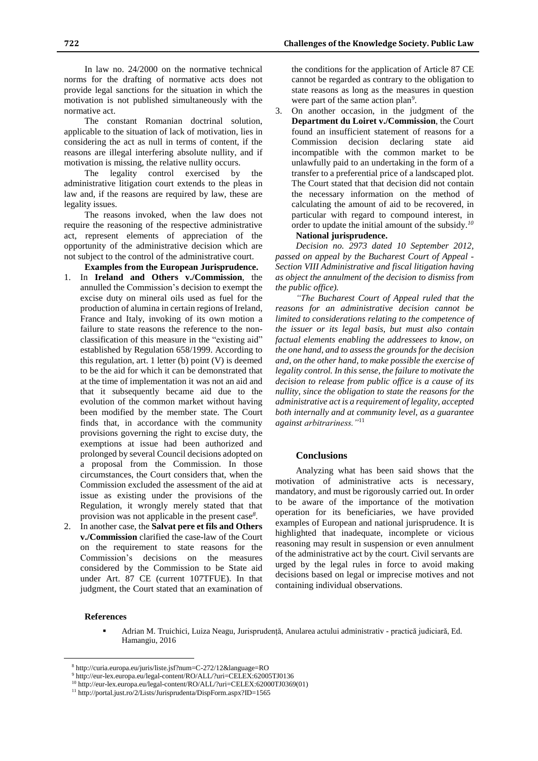In law no. 24/2000 on the normative technical norms for the drafting of normative acts does not provide legal sanctions for the situation in which the motivation is not published simultaneously with the normative act.

The constant Romanian doctrinal solution, applicable to the situation of lack of motivation, lies in considering the act as null in terms of content, if the reasons are illegal interfering absolute nullity, and if motivation is missing, the relative nullity occurs.

The legality control exercised by the administrative litigation court extends to the pleas in law and, if the reasons are required by law, these are legality issues.

The reasons invoked, when the law does not require the reasoning of the respective administrative act, represent elements of appreciation of the opportunity of the administrative decision which are not subject to the control of the administrative court.

- **Examples from the European Jurisprudence.** 1. In **Ireland and Others v./Commission**, the annulled the Commission's decision to exempt the excise duty on mineral oils used as fuel for the production of alumina in certain regions of Ireland, France and Italy, invoking of its own motion a failure to state reasons the reference to the nonclassification of this measure in the "existing aid" established by Regulation 658/1999. According to this regulation, art. 1 letter  $(b)$  point  $(V)$  is deemed to be the aid for which it can be demonstrated that at the time of implementation it was not an aid and that it subsequently became aid due to the evolution of the common market without having been modified by the member state. The Court finds that, in accordance with the community provisions governing the right to excise duty, the exemptions at issue had been authorized and prolonged by several Council decisions adopted on a proposal from the Commission. In those circumstances, the Court considers that, when the Commission excluded the assessment of the aid at issue as existing under the provisions of the Regulation, it wrongly merely stated that that provision was not applicable in the present case*<sup>8</sup>* .
- 2. In another case, the **Salvat pere et fils and Others v./Commission** clarified the case-law of the Court on the requirement to state reasons for the Commission's decisions on the measures considered by the Commission to be State aid under Art. 87 CE (current 107TFUE). In that judgment, the Court stated that an examination of

the conditions for the application of Article 87 CE cannot be regarded as contrary to the obligation to state reasons as long as the measures in question were part of the same action plan*<sup>9</sup>* .

3. On another occasion, in the judgment of the **Department du Loiret v./Commission**, the Court found an insufficient statement of reasons for a Commission decision declaring state aid incompatible with the common market to be unlawfully paid to an undertaking in the form of a transfer to a preferential price of a landscaped plot. The Court stated that that decision did not contain the necessary information on the method of calculating the amount of aid to be recovered, in particular with regard to compound interest, in order to update the initial amount of the subsidy.*<sup>10</sup>* **National jurisprudence.**

*Decision no. 2973 dated 10 September 2012, passed on appeal by the Bucharest Court of Appeal - Section VIII Administrative and fiscal litigation having as object the annulment of the decision to dismiss from the public office).*

*"The Bucharest Court of Appeal ruled that the reasons for an administrative decision cannot be limited to considerations relating to the competence of the issuer or its legal basis, but must also contain factual elements enabling the addressees to know, on the one hand, and to assess the grounds for the decision and, on the other hand, to make possible the exercise of legality control. In this sense, the failure to motivate the decision to release from public office is a cause of its nullity, since the obligation to state the reasons for the administrative act is a requirement of legality, accepted both internally and at community level, as a guarantee against arbitrariness."*<sup>11</sup>

#### **Conclusions**

Analyzing what has been said shows that the motivation of administrative acts is necessary, mandatory, and must be rigorously carried out. In order to be aware of the importance of the motivation operation for its beneficiaries, we have provided examples of European and national jurisprudence. It is highlighted that inadequate, incomplete or vicious reasoning may result in suspension or even annulment of the administrative act by the court. Civil servants are urged by the legal rules in force to avoid making decisions based on legal or imprecise motives and not containing individual observations.

### **References**

 $\overline{a}$ 

 Adrian M. Truichici, Luiza Neagu, Jurisprudență, Anularea actului administrativ - practică judiciară, Ed. Hamangiu, 2016

<sup>8</sup> http://curia.europa.eu/juris/liste.jsf?num=C-272/12&language=RO

<sup>9</sup> http://eur-lex.europa.eu/legal-content/RO/ALL/?uri=CELEX:62005TJ0136

<sup>10</sup> http://eur-lex.europa.eu/legal-content/RO/ALL/?uri=CELEX:62000TJ0369(01)

<sup>11</sup> http://portal.just.ro/2/Lists/Jurisprudenta/DispForm.aspx?ID=1565